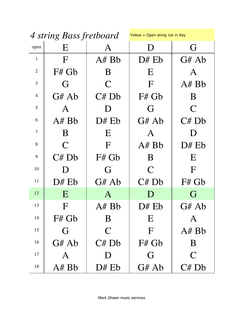| 4 string Bass fretboard |                | Yellow = Open string not in Key |              |                |
|-------------------------|----------------|---------------------------------|--------------|----------------|
| open                    | E              | A                               | $\Box$       | G              |
| $\mathbf{1}$            | $\mathbf{F}$   | A#Bb                            | D# Eb        | G# Ab          |
| $\overline{2}$          | F# Gb          | B                               | E            | A              |
| 3                       | G              | $\mathsf{C}$                    | $\mathbf F$  | A# Bb          |
| $\overline{4}$          | G# Ab          | C# Db                           | F# Gb        | B              |
| 5                       | $\mathsf{A}$   | $\Box$                          | G            | $\mathbf C$    |
| 6                       | A#Bb           | $D#$ Eb                         | G# Ab        | C# Db          |
| $\tau$                  | B              | E                               | A            | D              |
| 8                       | $\overline{C}$ | F                               | A#Bb         | D# Eb          |
| 9                       | C# Db          | $F#$ Gb                         | B            | E              |
| 10                      | D              | G                               | $\mathsf{C}$ | F              |
| 11                      | $D#$ Eb        | G# Ab                           | C# Db        | $F#$ Gb        |
| 12                      | E              | $\bf{A}$                        | $\Box$       | G              |
| 13                      | $\rm F$        | A# Bb                           | $D#$ Eb      | G# Ab          |
| 14                      | F# Gb          | B                               | E            | A              |
| 15                      | G              | $\mathsf{C}$                    | $\mathbf{F}$ | A#Bb           |
| 16                      | G# Ab          | C# Db                           | F# Gb        | B              |
| 17                      | A              | $\Box$                          | G            | $\overline{C}$ |
| 18                      | A# Bb          | D# Eb                           | G# Ab        | C# Db          |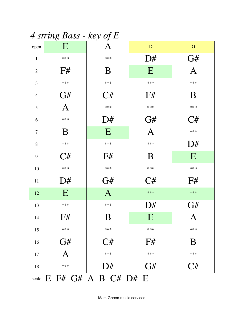4 string Bass - key of E

| open             | E            | Α                                         | ${\bf D}$    | ${\bf G}$      |
|------------------|--------------|-------------------------------------------|--------------|----------------|
| $\mathbf{1}$     | $***$        | ***                                       | D#           | G#             |
| $\overline{2}$   | F#           | B                                         | E            | A              |
| 3                | $***$        | ***                                       | ***          | ***            |
| $\overline{4}$   | G#           | C#                                        | F#           | B              |
| 5                | $\mathbf{A}$ | ***                                       | ***          | ***            |
| 6                | ***          | D#                                        | G#           | C#             |
| $\boldsymbol{7}$ | B            | E                                         | $\mathbf{A}$ | ***            |
| 8                | $***$        | ***                                       | ***          | D#             |
| 9                | C#           | F#                                        | B            | E              |
| 10               | $***$        | ***                                       | ***          | $***$          |
| $11\,$           | D#           | G#                                        | C#           | F#             |
| 12               | E            | $\mathbf{A}$                              | ***          | $***$          |
| 13               | $***$        | ***                                       | D#           | G#             |
| 14               | F#           | B                                         | E            | $\mathbf{A}$   |
| 15               | ***          | ***                                       | ***          | ***            |
| 16               | G#           | C#                                        | F#           | B              |
| 17               | A            | ***                                       | ***          | ***            |
| 18               | ***          | D#                                        | G#           | $\mathrm{C}\#$ |
|                  |              | scale $E$ $F#$ $G#$ $A$ $B$ $C#$ $D#$ $E$ |              |                |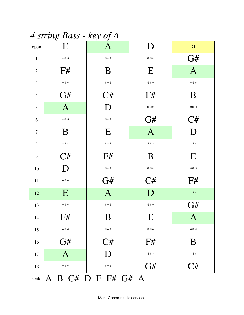| 4 string Bass - key of A |                |                          |                |                |  |
|--------------------------|----------------|--------------------------|----------------|----------------|--|
| open                     | Ε              | A                        | D              | G              |  |
| $\mathbf{1}$             | $***$          | $***$                    | ***            | G#             |  |
| $\overline{2}$           | F#             | B                        | E              | $\mathbf{A}$   |  |
| 3                        | $***$          | $***$                    | ***            | $***$          |  |
| $\overline{4}$           | G#             | C#                       | F#             | B              |  |
| 5                        | $\overline{A}$ | D                        | ***            | $***$          |  |
| 6                        | $***$          | $***$                    | G#             | C#             |  |
| $\tau$                   | B              | E                        | $\overline{A}$ | D              |  |
| 8                        | $***$          | $***$                    | $***$          | $***$          |  |
| 9                        | C#             | F#                       | B              | E              |  |
| 10                       | D              | $***$                    | $***$          | $***$          |  |
| 11                       | $***$          | G#                       | C#             | F#             |  |
| 12                       | $\bf E$        | $\mathbf{A}$             | $\Box$         | $***$          |  |
| 13                       | $***$          | $***$                    | $***$          | $\mathrm{G}\#$ |  |
| 14                       | F#             | B                        | E              | $\bm{A}$       |  |
| 15                       | $***$          | $***$                    | $***$          | $***$          |  |
| 16                       | G#             | C#                       | F#             | B              |  |
| 17                       | $\overline{A}$ | D                        | $***$          | $***$          |  |
| 18                       | ***            | ***                      | G#             | C#             |  |
|                          |                | scale A B C# D E F# G# A |                |                |  |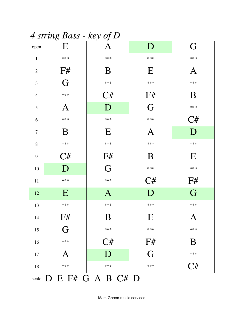|                | $4$ string Dass - key of D |                         |          |         |
|----------------|----------------------------|-------------------------|----------|---------|
| open           | E                          | $\bm{\mathsf{A}}$       | D        | G       |
| $\mathbf{1}$   | ***                        | $***$                   | ***      | ***     |
| $\overline{2}$ | F#                         | B                       | E        | $\bm A$ |
| 3              | G                          | ***                     | ***      | ***     |
| $\overline{4}$ | $***$                      | C#                      | F#       | B       |
| 5              | $\mathbf{A}$               | D                       | G        | ***     |
| 6              | $***$                      | $***$                   | ***      | C#      |
| $\overline{7}$ | B                          | E                       | $\bm{A}$ | D       |
| 8              | $***$                      | $***$                   | ***      | ***     |
| 9              | C#                         | F#                      | B        | E       |
| 10             | D                          | G                       | ***      | ***     |
| 11             | $***$                      | ***                     | C#       | F#      |
| 12             | E                          | $\bf{A}$                | D        | G       |
| 13             | ***                        | $***$                   | ***      | ***     |
| 14             | F#                         | Β                       | E        | A       |
| 15             | G                          | ***                     | ***      | ***     |
| 16             | ***                        | C#                      | F#       | B       |
| 17             | $\mathbf A$                | D                       | G        | ***     |
| 18             | ***                        | ***                     | ***      | C#      |
|                |                            | scale D E F# G A B C# D |          |         |

 $\Lambda$  string Rass - key of  $D$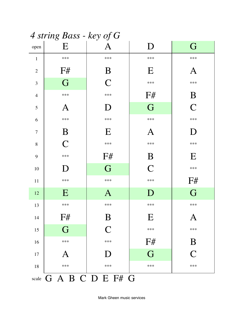|                | 4 siring <b>D</b> ass - key of <b>G</b> |                |                |                |  |  |  |
|----------------|-----------------------------------------|----------------|----------------|----------------|--|--|--|
| open           | E                                       |                | D              | G              |  |  |  |
| $\mathbf{1}$   | ***                                     | ***            | ***            | ***            |  |  |  |
| $\overline{2}$ | F#                                      | B              | E              | Α              |  |  |  |
| 3              | G                                       | $\overline{C}$ | $***$          | ***            |  |  |  |
| $\overline{4}$ | ***                                     | ***            | F#             | B              |  |  |  |
| 5              | A                                       | $\Box$         | G              | $\overline{C}$ |  |  |  |
| 6              | ***                                     | ***            | ***            | ***            |  |  |  |
| 7              | B                                       | E              | $\bm{A}$       | D              |  |  |  |
| $8\,$          | $\overline{C}$                          | ***            | ***            | ***            |  |  |  |
| 9              | ***                                     | F#             | B              | E              |  |  |  |
| 10             | D                                       | G              | $\overline{C}$ | $***$          |  |  |  |
| 11             | ***                                     | $***$          | ***            | F#             |  |  |  |
| 12             | E                                       | $\bf{A}$       | D              | G              |  |  |  |
| 13             | ***                                     | ***            | ***            | ***            |  |  |  |
| 14             | F#                                      | B              | E              | A              |  |  |  |
| 15             | G                                       | $\overline{C}$ | ***            | ***            |  |  |  |
| 16             | $***$                                   | ***            | F#             | B              |  |  |  |
| $17\,$         | A                                       | D              | G              | $\overline{C}$ |  |  |  |
| 18             | ***                                     | ***            | ***            | ***            |  |  |  |
|                | scale G A B C D E F# G                  |                |                |                |  |  |  |

 $\Delta$  string Rass - kov of  $\Gamma$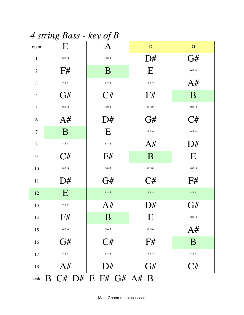| 4 siring Bass - key of B |       |                            |       |           |  |
|--------------------------|-------|----------------------------|-------|-----------|--|
| open                     | Ε     | A                          | D     | ${\bf G}$ |  |
| $\mathbf{1}$             | $***$ | $***$                      | D#    | G#        |  |
| $\mathbf{2}$             | F#    | B                          | E     | $***$     |  |
| 3                        | ***   | ***                        | ***   | A#        |  |
| $\overline{4}$           | G#    | C#                         | F#    | B         |  |
| 5                        | ***   | ***                        | ***   | ***       |  |
| 6                        | A#    | D#                         | G#    | C#        |  |
| $\tau$                   | B     | E                          | ***   | ***       |  |
| 8                        | $***$ | $***$                      | A#    | D#        |  |
| 9                        | $C\#$ | F#                         | B     | E         |  |
| 10                       | ***   | ***                        | ***   | ***       |  |
| 11                       | D#    | G#                         | $C\#$ | F#        |  |
| 12                       | E     | $***$                      | $***$ | $***$     |  |
| 13                       | $***$ | A#                         | D#    | G#        |  |
| 14                       | F#    | $\bf{B}$                   | E     | ***       |  |
| 15                       | $***$ | $***$                      | ***   | A#        |  |
| 16                       | G#    | C#                         | F#    | B         |  |
| 17                       | ***   | $***$                      | ***   | $***$     |  |
| 18                       | A#    | D#                         | G#    | C#        |  |
|                          |       | scale B C# D# E F# G# A# B |       |           |  |

 $\Lambda$  string  $D_{QSG}$  key of  $D$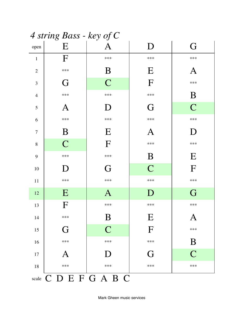|                | 4 string Bass - key of C |              |                |                |  |  |  |
|----------------|--------------------------|--------------|----------------|----------------|--|--|--|
| open           | E                        | $\mathbf{A}$ | D              | G              |  |  |  |
| $\mathbf{1}$   | F                        | ***          | ***            | ***            |  |  |  |
| $\overline{2}$ | ***                      | B            | E              | A              |  |  |  |
| 3              | G                        | $\mathsf{C}$ | F              | ***            |  |  |  |
| $\overline{4}$ | ***                      | ***          | ***            | B              |  |  |  |
| 5              | ${\bf A}$                | D            | G              | $\overline{C}$ |  |  |  |
| 6              | ***                      | ***          | ***            | ***            |  |  |  |
| $\tau$         | B                        | E            | $\bm A$        | D              |  |  |  |
| $8\,$          | $\mathsf{C}$             | F            | ***            | ***            |  |  |  |
| 9              | ***                      | ***          | B              | E              |  |  |  |
| 10             | D                        | G            | $\overline{C}$ | F              |  |  |  |
| 11             | ***                      | ***          | ***            | ***            |  |  |  |
| 12             | E                        | $\mathbf{A}$ | $\mathbf D$    | G              |  |  |  |
| 13             | F                        | ***          | ***            | ***            |  |  |  |
| 14             | ***                      | B            | E              | A              |  |  |  |
| 15             | G                        | $\mathsf{C}$ | $\Gamma$       | ***            |  |  |  |
| 16             | ***                      | ***          | ***            | B              |  |  |  |
| 17             | $\bm{A}$                 | D            | G              | $\overline{C}$ |  |  |  |
| 18             | ***                      | ***          | ***            | ***            |  |  |  |
|                | scale C D E F G A B C    |              |                |                |  |  |  |

 $\sqrt{1-\frac{1}{2}}$  $\Lambda$  statistic  $\mathbf{D}$  $\mathbf{1}$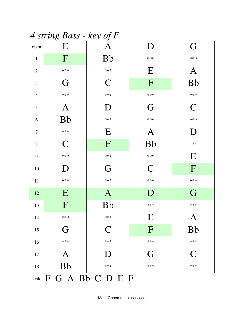|                | 4 string Bass - key of F |                        |                |                |  |  |
|----------------|--------------------------|------------------------|----------------|----------------|--|--|
| open           | E                        | $\mathbf{A}$           | D              | G              |  |  |
| $\mathbf{1}$   | F                        | <b>Bb</b>              | ***            | ***            |  |  |
| $\overline{2}$ | ***                      | ***                    | E              | $\mathbf{A}$   |  |  |
| 3              | G                        | $\mathsf{C}$           | F              | <b>Bb</b>      |  |  |
| $\overline{4}$ | ***                      | ***                    | ***            | ***            |  |  |
| 5              | $\mathbf{A}$             | D                      | G              | $\overline{C}$ |  |  |
| 6              | <b>Bb</b>                | ***                    | ***            | ***            |  |  |
| $\overline{7}$ | ***                      | E                      | $\mathbf{A}$   | D              |  |  |
| 8              | $\mathsf{C}$             | F                      | <b>Bb</b>      | ***            |  |  |
| 9              | ***                      | ***                    | ***            | E              |  |  |
| 10             | D                        | G                      | $\mathsf{C}$   | F              |  |  |
| $11\,$         | $***$                    | $***$                  | ***            | $***$          |  |  |
| 12             | E                        | $\mathbf{A}$           | D              | G              |  |  |
| 13             | F                        | <b>Bb</b>              | ***            | ***            |  |  |
| 14             | ***                      | ***                    | E              | A              |  |  |
| 15             | G                        | $\mathbf C$            | $\overline{F}$ | <b>Bb</b>      |  |  |
| 16             | ***                      | ***                    | ***            | ***            |  |  |
| $17\,$         | $\mathbf{A}$             | $\Box$                 | G              | $\mathbf C$    |  |  |
| 18             | <b>Bb</b>                | ***                    | ***            | ***            |  |  |
|                |                          | scale F G A Bb C D E F |                |                |  |  |

 $\Lambda$  string  $D_{QSG}$   $l_{QSG}$  of  $\Gamma$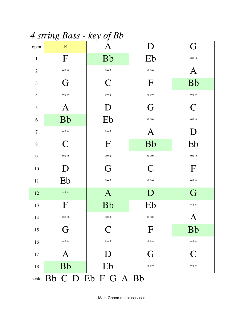| 4 siring Dass - key of Do |                          |                           |                |              |  |
|---------------------------|--------------------------|---------------------------|----------------|--------------|--|
| open                      | E                        | $\boldsymbol{\mathsf{A}}$ | D              | G            |  |
| $\mathbf{1}$              | F                        | <b>Bb</b>                 | Eb             | ***          |  |
| $\overline{2}$            | ***                      | $***$                     | ***            | $\bm{A}$     |  |
| 3                         | G                        | $\mathsf{C}$              | F              | <b>Bb</b>    |  |
| $\overline{4}$            | ***                      | $***$                     | ***            | ***          |  |
| 5                         | $\mathbf{A}$             | D                         | G              | $\mathsf{C}$ |  |
| 6                         | <b>Bb</b>                | Eb                        | ***            | ***          |  |
| 7                         | ***                      | ***                       | $\mathbf{A}$   | D            |  |
| 8                         | $\mathsf{C}$             | F                         | <b>Bb</b>      | Eb           |  |
| 9                         | ***                      | ***                       | ***            | ***          |  |
| 10                        | D                        | G                         | $\overline{C}$ | $\mathbf F$  |  |
| $11\,$                    | Eb                       | $***$                     | ***            | ***          |  |
| 12                        | $***$                    | $\mathbf{A}$              | D              | G            |  |
| 13                        | $\mathbf F$              | <b>Bb</b>                 | Eb             | ***          |  |
| 14                        | ***                      | ***                       | ***            | A            |  |
| 15                        | G                        | $\mathsf{C}$              | F              | <b>Bb</b>    |  |
| 16                        | ***                      | ***                       | ***            | ***          |  |
| 17                        | $\bm{A}$                 | D                         | G              | $\mathsf{C}$ |  |
| $18\,$                    | <b>Bb</b>                | Eb                        | ***            | ***          |  |
|                           | scale Bb C D Eb F G A Bb |                           |                |              |  |

 $\Lambda$  string  $R_{\alpha\beta\delta}$  - key of  $Rh$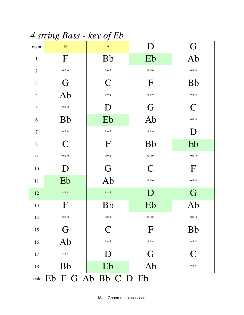4 string Bass - key of Eb

| open           | ${\bf E}$    | $\mathbf{A}$              | $\mathbf D$  | G            |
|----------------|--------------|---------------------------|--------------|--------------|
| $\mathbf{1}$   | F            | <b>Bb</b>                 | Eb           | Ab           |
| $\overline{2}$ | ***          | $***$                     | $***$        | ***          |
| 3              | G            | $\mathsf{C}$              | $\mathbf F$  | <b>Bb</b>    |
| $\overline{4}$ | Ab           | $***$                     | ***          | $***$        |
| 5              | ***          | D                         | G            | $\mathsf{C}$ |
| 6              | <b>Bb</b>    | Eb                        | Ab           | $***$        |
| $\overline{7}$ | ***          | ***                       | ***          | D            |
| $8\,$          | C            | $\mathbf F$               | <b>Bb</b>    | Eb           |
| 9              | ***          | ***                       | ***          | $***$        |
| 10             | D            | G                         | $\mathsf{C}$ | F            |
| 11             | Eb           | Ab                        | ***          | $***$        |
| 12             | $***$        | $***$                     | D            | G            |
| 13             | $\mathbf{F}$ | <b>Bb</b>                 | Eb           | Ab           |
| 14             | ***          | $***$                     | ***          | ***          |
| 15             | G            | $\mathsf{C}$              | $\mathbf F$  | <b>Bb</b>    |
| 16             | Ab           | $***$                     | ***          | $***$        |
| 17             | ***          | D                         | G            | $\mathcal C$ |
| 18             | <b>Bb</b>    | Eb                        | Ab           | $***$        |
|                |              | scale Eb F G Ab Bb C D Eb |              |              |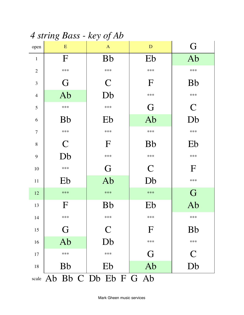4 string Bass - key of Ab

| open           | E            | $\mathbf{A}$               | D            | G             |
|----------------|--------------|----------------------------|--------------|---------------|
| $\mathbf{1}$   | F            | <b>Bb</b>                  | Eb           | Ab            |
| $\overline{2}$ | $***$        | $***$                      | ***          | $***$         |
| 3              | G            | $\mathsf{C}$               | F            | <b>Bb</b>     |
| $\overline{4}$ | Ab           | Db                         | ***          | $***$         |
| 5              | $***$        | ***                        | G            | $\mathcal{C}$ |
| 6              | <b>Bb</b>    | Eb                         | Ab           | Db            |
| $\overline{7}$ | $***$        | $***$                      | ***          | ***           |
| 8              | $\mathsf{C}$ | $\mathbf F$                | <b>Bb</b>    | Eb            |
| 9              | Db           | $***$                      | ***          | ***           |
| 10             | ***          | G                          | $\mathsf{C}$ | $\Gamma$      |
| 11             | Eb           | Ab                         | Db           | $***$         |
| 12             | $***$        | $***$                      | ***          | G             |
| 13             | $\mathbf F$  | <b>Bb</b>                  | Eb           | Ab            |
| 14             | ***          | ***                        | ***          | ***           |
| 15             | G            | $\mathbf C$                | $\mathbf F$  | <b>Bb</b>     |
| 16             | Ab           | Db                         | ***          | ***           |
| 17             | $***$        | $***$                      | G            | $\mathsf{C}$  |
| 18             | <b>Bb</b>    | Eb                         | Ab           | Db            |
|                |              | scale Ab Bb C Db Eb F G Ab |              |               |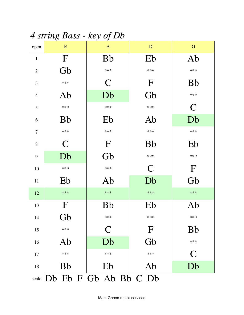4 string Bass - key of Db

| open           | ${\bf E}$    | $\mathbf{A}$                | D              | ${\bf G}$    |
|----------------|--------------|-----------------------------|----------------|--------------|
| $\mathbf{1}$   | $\Gamma$     | <b>Bb</b>                   | Eb             | Ab           |
| $\overline{2}$ | Gb           | $***$                       | ***            | ***          |
| 3              | ***          | $\mathcal{C}$               | $\mathbf{F}$   | <b>Bb</b>    |
| $\overline{4}$ | Ab           | Db                          | Gb             | $***$        |
| 5              | ***          | ***                         | ***            | $\mathsf{C}$ |
| 6              | <b>Bb</b>    | Eb                          | Ab             | Db           |
| $\overline{7}$ | $***$        | $***$                       | ***            | ***          |
| 8              | $\mathsf{C}$ | $\mathbf F$                 | <b>Bb</b>      | Eb           |
| 9              | Db           | Gb                          | $***$          | $***$        |
| 10             | ***          | ***                         | $\overline{C}$ | $\mathbf{F}$ |
| 11             | Eb           | Ab                          | Db             | Gb           |
| 12             | $***$        | $***$                       | ***            | $***$        |
| 13             | $\mathbf{F}$ | <b>Bb</b>                   | Eb             | Ab           |
| 14             | Gb           | ***                         | ***            | ***          |
| 15             | $***$        | $\mathbf C$                 | $\mathbf{F}$   | <b>Bb</b>    |
| 16             | Ab           | Db                          | Gb             | ***          |
| 17             | ***          | ***                         | $***$          | $\mathsf{C}$ |
| 18             | <b>Bb</b>    | Eb                          | Ab             | Db           |
|                |              | scale Db Eb F Gb Ab Bb C Db |                |              |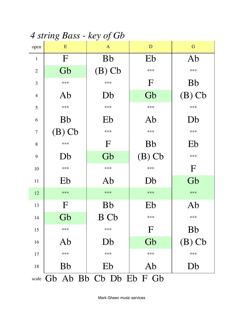*4 string Bass - key of Gb*

| open           | ${\bf E}$                    | $\mathbf{A}$ | D            | ${\bf G}$    |  |
|----------------|------------------------------|--------------|--------------|--------------|--|
| $\mathbf{1}$   | $\mathbf{F}$                 | <b>Bb</b>    | Eb           | Ab           |  |
| $\overline{2}$ | Gb                           | $(B)$ Cb     | ***          | $***$        |  |
| 3              | ***                          | $***$        | $\mathbf F$  | <b>Bb</b>    |  |
| $\overline{4}$ | Ab                           | Db           | Gb           | $(B)$ Cb     |  |
| 5              | ***                          | $***$        | ***          | $***$        |  |
| 6              | <b>Bb</b>                    | Eb           | Ab           | Db           |  |
| 7              | $(B)$ Cb                     | $***$        | ***          | ***          |  |
| 8              | $***$                        | $\mathbf F$  | <b>Bb</b>    | Eb           |  |
| 9              | Db                           | Gb           | $(B)$ Cb     | $***$        |  |
| 10             | ***                          | ***          | ***          | $\mathbf{F}$ |  |
| 11             | Eb                           | Ab           | Db           | Gb           |  |
| 12             | $***$                        | $***$        | $***$        | $***$        |  |
| 13             | $\mathbf F$                  | <b>Bb</b>    | Eb           | Ab           |  |
| 14             | Gb                           | B Cb         | ***          | $***$        |  |
| 15             | ***                          | $***$        | $\mathbf{F}$ | <b>Bb</b>    |  |
| 16             | Ab                           | Db           | Gb           | $(B)$ Cb     |  |
| 17             | ***                          | ***          | ***          | $***$        |  |
| 18             | <b>Bb</b>                    | Eb           | Ab           | Db           |  |
|                | scale Gb Ab Bb Cb Db Eb F Gb |              |              |              |  |